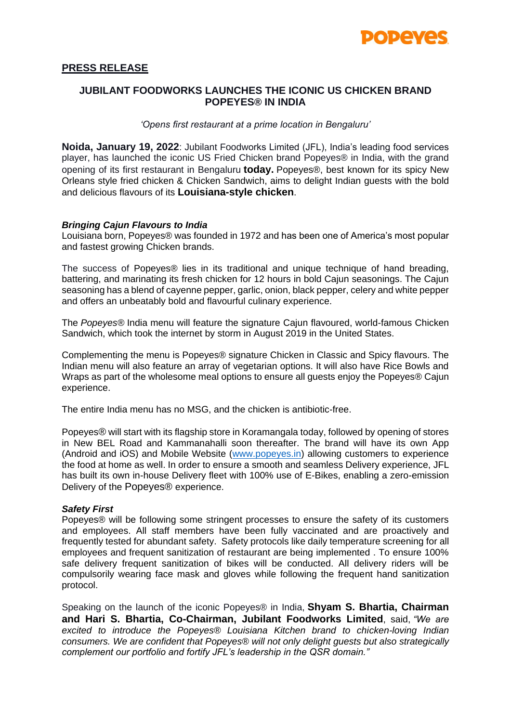

## **PRESS RELEASE**

# **JUBILANT FOODWORKS LAUNCHES THE ICONIC US CHICKEN BRAND POPEYES® IN INDIA**

#### *'Opens first restaurant at a prime location in Bengaluru'*

**Noida, January 19, 2022**: Jubilant Foodworks Limited (JFL), India's leading food services player, has launched the iconic US Fried Chicken brand Popeyes® in India, with the grand opening of its first restaurant in Bengaluru **today.** Popeyes®, best known for its spicy New Orleans style fried chicken & Chicken Sandwich, aims to delight Indian guests with the bold and delicious flavours of its **Louisiana-style chicken**.

### *Bringing Cajun Flavours to India*

Louisiana born, Popeyes® was founded in 1972 and has been one of America's most popular and fastest growing Chicken brands.

The success of Popeyes® lies in its traditional and unique technique of hand breading, battering, and marinating its fresh chicken for 12 hours in bold Cajun seasonings. The Cajun seasoning has a blend of cayenne pepper, garlic, onion, black pepper, celery and white pepper and offers an unbeatably bold and flavourful culinary experience.

The *Popeyes®* India menu will feature the signature Cajun flavoured, world-famous Chicken Sandwich, which took the internet by storm in August 2019 in the United States.

Complementing the menu is Popeyes® signature Chicken in Classic and Spicy flavours. The Indian menu will also feature an array of vegetarian options. It will also have Rice Bowls and Wraps as part of the wholesome meal options to ensure all guests enjoy the Popeyes® Cajun experience.

The entire India menu has no MSG, and the chicken is antibiotic-free.

Popeyes® will start with its flagship store in Koramangala today, followed by opening of stores in New BEL Road and Kammanahalli soon thereafter. The brand will have its own App (Android and iOS) and Mobile Website [\(www.popeyes.in\)](http://www.popeyes.in/) allowing customers to experience the food at home as well. In order to ensure a smooth and seamless Delivery experience, JFL has built its own in-house Delivery fleet with 100% use of E-Bikes, enabling a zero-emission Delivery of the Popeyes® experience.

### *Safety First*

Popeyes® will be following some stringent processes to ensure the safety of its customers and employees. All staff members have been fully vaccinated and are proactively and frequently tested for abundant safety. Safety protocols like daily temperature screening for all employees and frequent sanitization of restaurant are being implemented . To ensure 100% safe delivery frequent sanitization of bikes will be conducted. All delivery riders will be compulsorily wearing face mask and gloves while following the frequent hand sanitization protocol.

Speaking on the launch of the iconic Popeyes® in India, **Shyam S. Bhartia, Chairman and Hari S. Bhartia, Co-Chairman, Jubilant Foodworks Limited**, said, *"We are excited to introduce the Popeyes® Louisiana Kitchen brand to chicken-loving Indian consumers. We are confident that Popeyes® will not only delight guests but also strategically complement our portfolio and fortify JFL's leadership in the QSR domain."*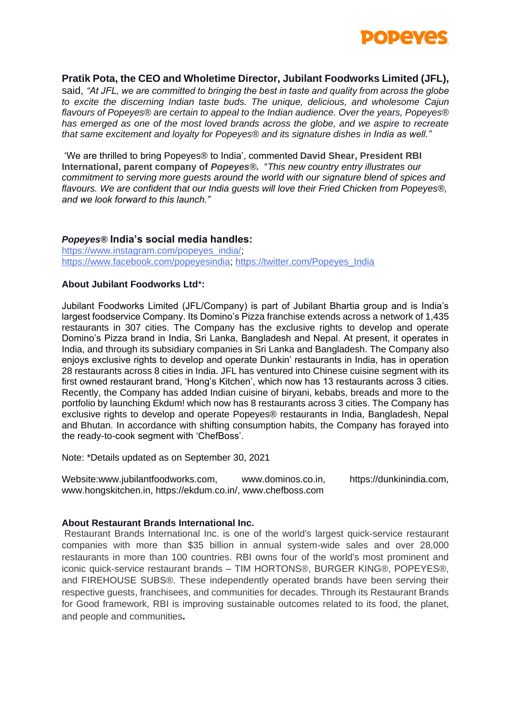

### **Pratik Pota, the CEO and Wholetime Director, Jubilant Foodworks Limited (JFL),**

said, *"At JFL, we are committed to bringing the best in taste and quality from across the globe to excite the discerning Indian taste buds. The unique, delicious, and wholesome Cajun flavours of Popeyes® are certain to appeal to the Indian audience. Over the years, Popeyes® has emerged as one of the most loved brands across the globe, and we aspire to recreate that same excitement and loyalty for Popeyes® and its signature dishes in India as well."*

'We are thrilled to bring Popeyes® to India', commented **David Shear, President RBI International, parent company of** *Popeyes®.* "*This new country entry illustrates our commitment to serving more guests around the world with our signature blend of spices and flavours. We are confident that our India guests will love their Fried Chicken from Popeyes®, and we look forward to this launch."*

### *Popeyes®* **India's social media handles:**

[https://www.instagram.com/popeyes\\_india/;](https://www.instagram.com/popeyes_india/) [https://www.facebook.com/popeyesindia;](https://www.facebook.com/popeyesindia) [https://twitter.com/Popeyes\\_India](https://twitter.com/Popeyes_India)

### **About Jubilant Foodworks Ltd**\***:**

Jubilant Foodworks Limited (JFL/Company) is part of Jubilant Bhartia group and is India's largest foodservice Company. Its Domino's Pizza franchise extends across a network of 1,435 restaurants in 307 cities. The Company has the exclusive rights to develop and operate Domino's Pizza brand in India, Sri Lanka, Bangladesh and Nepal. At present, it operates in India, and through its subsidiary companies in Sri Lanka and Bangladesh. The Company also enjoys exclusive rights to develop and operate Dunkin' restaurants in India, has in operation 28 restaurants across 8 cities in India. JFL has ventured into Chinese cuisine segment with its first owned restaurant brand, 'Hong's Kitchen', which now has 13 restaurants across 3 cities. Recently, the Company has added Indian cuisine of biryani, kebabs, breads and more to the portfolio by launching Ekdum! which now has 8 restaurants across 3 cities. The Company has exclusive rights to develop and operate Popeyes® restaurants in India, Bangladesh, Nepal and Bhutan. In accordance with shifting consumption habits, the Company has forayed into the ready-to-cook segment with 'ChefBoss'.

Note: \*Details updated as on September 30, 2021

Website:www.jubilantfoodworks.com, www.dominos.co.in, https://dunkinindia.com, www.hongskitchen.in, https://ekdum.co.in/, www.chefboss.com

### **About Restaurant Brands International Inc.**

Restaurant Brands International Inc. is one of the world's largest quick-service restaurant companies with more than \$35 billion in annual system-wide sales and over 28,000 restaurants in more than 100 countries. RBI owns four of the world's most prominent and iconic quick-service restaurant brands – TIM HORTONS®, BURGER KING®, POPEYES®, and FIREHOUSE SUBS®. These independently operated brands have been serving their respective guests, franchisees, and communities for decades. Through its Restaurant Brands for Good framework, RBI is improving sustainable outcomes related to its food, the planet, and people and communities.